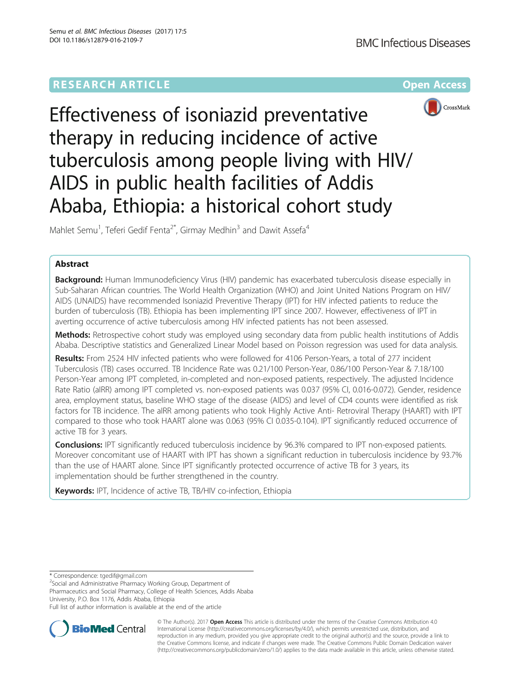# **RESEARCH ARTICLE Example 2014 12:30 The Community Community Community Community Community Community Community**



Effectiveness of isoniazid preventative therapy in reducing incidence of active tuberculosis among people living with HIV/ AIDS in public health facilities of Addis Ababa, Ethiopia: a historical cohort study

Mahlet Semu<sup>1</sup>, Teferi Gedif Fenta<sup>2\*</sup>, Girmay Medhin<sup>3</sup> and Dawit Assefa<sup>4</sup>

## Abstract

Background: Human Immunodeficiency Virus (HIV) pandemic has exacerbated tuberculosis disease especially in Sub-Saharan African countries. The World Health Organization (WHO) and Joint United Nations Program on HIV/ AIDS (UNAIDS) have recommended Isoniazid Preventive Therapy (IPT) for HIV infected patients to reduce the burden of tuberculosis (TB). Ethiopia has been implementing IPT since 2007. However, effectiveness of IPT in averting occurrence of active tuberculosis among HIV infected patients has not been assessed.

Methods: Retrospective cohort study was employed using secondary data from public health institutions of Addis Ababa. Descriptive statistics and Generalized Linear Model based on Poisson regression was used for data analysis.

Results: From 2524 HIV infected patients who were followed for 4106 Person-Years, a total of 277 incident Tuberculosis (TB) cases occurred. TB Incidence Rate was 0.21/100 Person-Year, 0.86/100 Person-Year & 7.18/100 Person-Year among IPT completed, in-completed and non-exposed patients, respectively. The adjusted Incidence Rate Ratio (aIRR) among IPT completed vs. non-exposed patients was 0.037 (95% CI, 0.016-0.072). Gender, residence area, employment status, baseline WHO stage of the disease (AIDS) and level of CD4 counts were identified as risk factors for TB incidence. The aIRR among patients who took Highly Active Anti- Retroviral Therapy (HAART) with IPT compared to those who took HAART alone was 0.063 (95% CI 0.035-0.104). IPT significantly reduced occurrence of active TB for 3 years.

**Conclusions:** IPT significantly reduced tuberculosis incidence by 96.3% compared to IPT non-exposed patients. Moreover concomitant use of HAART with IPT has shown a significant reduction in tuberculosis incidence by 93.7% than the use of HAART alone. Since IPT significantly protected occurrence of active TB for 3 years, its implementation should be further strengthened in the country.

Keywords: IPT, Incidence of active TB, TB/HIV co-infection, Ethiopia

\* Correspondence: [tgedif@gmail.com](mailto:tgedif@gmail.com) <sup>2</sup>

<sup>2</sup>Social and Administrative Pharmacy Working Group, Department of

Pharmaceutics and Social Pharmacy, College of Health Sciences, Addis Ababa University, P.O. Box 1176, Addis Ababa, Ethiopia

Full list of author information is available at the end of the article



© The Author(s). 2017 **Open Access** This article is distributed under the terms of the Creative Commons Attribution 4.0 International License [\(http://creativecommons.org/licenses/by/4.0/](http://creativecommons.org/licenses/by/4.0/)), which permits unrestricted use, distribution, and reproduction in any medium, provided you give appropriate credit to the original author(s) and the source, provide a link to the Creative Commons license, and indicate if changes were made. The Creative Commons Public Domain Dedication waiver [\(http://creativecommons.org/publicdomain/zero/1.0/](http://creativecommons.org/publicdomain/zero/1.0/)) applies to the data made available in this article, unless otherwise stated.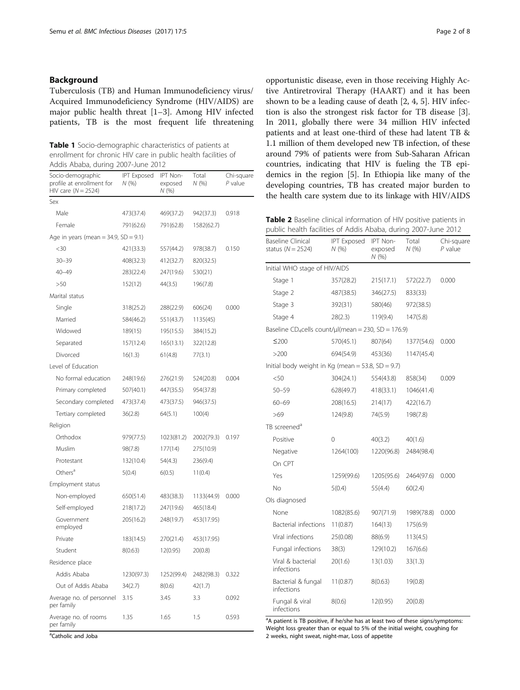## <span id="page-1-0"></span>Background

Tuberculosis (TB) and Human Immunodeficiency virus/ Acquired Immunodeficiency Syndrome (HIV/AIDS) are major public health threat [[1](#page-7-0)–[3\]](#page-7-0). Among HIV infected patients, TB is the most frequent life threatening

Table 1 Socio-demographic characteristics of patients at enrollment for chronic HIV care in public health facilities of Addis Ababa, during 2007-June 2012

| Socio-demographic<br>profile at enrollment for<br>HIV care $(N = 2524)$ | IPT Exposed<br>N(% ) | IPT Non-<br>exposed<br>N (%) | Total<br>N(96) | Chi-square<br>P value |
|-------------------------------------------------------------------------|----------------------|------------------------------|----------------|-----------------------|
| Sex                                                                     |                      |                              |                |                       |
| Male                                                                    | 473(37.4)            | 469(37.2)                    | 942(37.3)      | 0.918                 |
| Female                                                                  | 791(62.6)            | 791(62.8)                    | 1582(62.7)     |                       |
| Age in years (mean = 34.9, SD = 9.1)                                    |                      |                              |                |                       |
| <30                                                                     | 421(33.3)            | 557(44.2)                    | 978(38.7)      | 0.150                 |
| $30 - 39$                                                               | 408(32.3)            | 412(32.7)                    | 820(32.5)      |                       |
| $40 - 49$                                                               | 283(22.4)            | 247(19.6)                    | 530(21)        |                       |
| >50                                                                     | 152(12)              | 44(3.5)                      | 196(7.8)       |                       |
| Marital status                                                          |                      |                              |                |                       |
| Single                                                                  | 318(25.2)            | 288(22.9)                    | 606(24)        | 0.000                 |
| Married                                                                 | 584(46.2)            | 551(43.7)                    | 1135(45)       |                       |
| Widowed                                                                 | 189(15)              | 195(15.5)                    | 384(15.2)      |                       |
| Separated                                                               | 157(12.4)            | 165(13.1)                    | 322(12.8)      |                       |
| Divorced                                                                | 16(1.3)              | 61(4.8)                      | 77(3.1)        |                       |
| Level of Education                                                      |                      |                              |                |                       |
| No formal education                                                     | 248(19.6)            | 276(21.9)                    | 524(20.8)      | 0.004                 |
| Primary completed                                                       | 507(40.1)            | 447(35.5)                    | 954(37.8)      |                       |
| Secondary completed                                                     | 473(37.4)            | 473(37.5)                    | 946(37.5)      |                       |
| Tertiary completed                                                      | 36(2.8)              | 64(5.1)                      | 100(4)         |                       |
| Religion                                                                |                      |                              |                |                       |
| Orthodox                                                                | 979(77.5)            | 1023(81.2)                   | 2002(79.3)     | 0.197                 |
| Muslim                                                                  | 98(7.8)              | 177(14)                      | 275(10.9)      |                       |
| Protestant                                                              | 132(10.4)            | 54(4.3)                      | 236(9.4)       |                       |
| Others <sup>a</sup>                                                     | 5(0.4)               | 6(0.5)                       | 11(0.4)        |                       |
| Employment status                                                       |                      |                              |                |                       |
| Non-employed                                                            | 650(51.4)            | 483(38.3)                    | 1133(44.9)     | 0.000                 |
| Self-employed                                                           | 218(17.2)            | 247(19.6)                    | 465(18.4)      |                       |
| Government<br>employed                                                  | 205(16.2)            | 248(19.7)                    | 453(17.95)     |                       |
| Private                                                                 | 183(14.5)            | 270(21.4)                    | 453(17.95)     |                       |
| Student                                                                 | 8(0.63)              | 12(0.95)                     | 20(0.8)        |                       |
| Residence place                                                         |                      |                              |                |                       |
| Addis Ababa                                                             | 1230(97.3)           | 1252(99.4)                   | 2482(98.3)     | 0.322                 |
| Out of Addis Ababa                                                      | 34(2.7)              | 8(0.6)                       | 42(1.7)        |                       |
| Average no. of personnel<br>per family                                  | 3.15                 | 3.45                         | 3.3            | 0.092                 |
| Average no. of rooms<br>per family                                      | 1.35                 | 1.65                         | 1.5            | 0.593                 |

opportunistic disease, even in those receiving Highly Active Antiretroviral Therapy (HAART) and it has been shown to be a leading cause of death [[2, 4, 5\]](#page-7-0). HIV infection is also the strongest risk factor for TB disease [\[3](#page-7-0)]. In 2011, globally there were 34 million HIV infected patients and at least one-third of these had latent TB & 1.1 million of them developed new TB infection, of these around 79% of patients were from Sub-Saharan African countries, indicating that HIV is fueling the TB epidemics in the region [\[5](#page-7-0)]. In Ethiopia like many of the developing countries, TB has created major burden to the health care system due to its linkage with HIV/AIDS

Table 2 Baseline clinical information of HIV positive patients in public health facilities of Addis Ababa, during 2007-June 2012

| <b>Baseline Clinical</b><br>status ( $N = 2524$ )               | <b>IPT Exposed</b><br>N(%) | IPT Non-<br>exposed<br>N (%) | Total<br>N(%) | Chi-square<br>$P$ value |
|-----------------------------------------------------------------|----------------------------|------------------------------|---------------|-------------------------|
| Initial WHO stage of HIV/AIDS                                   |                            |                              |               |                         |
| Stage 1                                                         | 357(28.2)                  | 215(17.1)                    | 572(22.7)     | 0.000                   |
| Stage 2                                                         | 487(38.5)                  | 346(27.5)                    | 833(33)       |                         |
| Stage 3                                                         | 392(31)                    | 580(46)                      | 972(38.5)     |                         |
| Stage 4                                                         | 28(2.3)                    | 119(9.4)                     | 147(5.8)      |                         |
| Baseline CD <sub>4</sub> cells count/µl(mean = 230, SD = 176.9) |                            |                              |               |                         |
| $≤200$                                                          | 570(45.1)                  | 807(64)                      | 1377(54.6)    | 0.000                   |
| >200                                                            | 694(54.9)                  | 453(36)                      | 1147(45.4)    |                         |
| Initial body weight in Kg (mean = 53.8, SD = 9.7)               |                            |                              |               |                         |
| < 50                                                            | 304(24.1)                  | 554(43.8)                    | 858(34)       | 0.009                   |
| $50 - 59$                                                       | 628(49.7)                  | 418(33.1)                    | 1046(41.4)    |                         |
| $60 - 69$                                                       | 208(16.5)                  | 214(17)                      | 422(16.7)     |                         |
| >69                                                             | 124(9.8)                   | 74(5.9)                      | 198(7.8)      |                         |
| TB screened <sup>a</sup>                                        |                            |                              |               |                         |
| Positive                                                        | $\Omega$                   | 40(3.2)                      | 40(1.6)       |                         |
| Negative                                                        | 1264(100)                  | 1220(96.8)                   | 2484(98.4)    |                         |
| On CPT                                                          |                            |                              |               |                         |
| Yes                                                             | 1259(99.6)                 | 1205(95.6)                   | 2464(97.6)    | 0.000                   |
| No                                                              | 5(0.4)                     | 55(4.4)                      | 60(2.4)       |                         |
| Ols diagnosed                                                   |                            |                              |               |                         |
| None                                                            | 1082(85.6)                 | 907(71.9)                    | 1989(78.8)    | 0.000                   |
| Bacterial infections                                            | 11(0.87)                   | 164(13)                      | 175(6.9)      |                         |
| Viral infections                                                | 25(0.08)                   | 88(6.9)                      | 113(4.5)      |                         |
| Fungal infections                                               | 38(3)                      | 129(10.2)                    | 167(6.6)      |                         |
| Viral & bacterial<br>infections                                 | 20(1.6)                    | 13(1.03)                     | 33(1.3)       |                         |
| Bacterial & fungal<br>infections                                | 11(0.87)                   | 8(0.63)                      | 19(0.8)       |                         |
| Fungal & viral<br>infections                                    | 8(0.6)                     | 12(0.95)                     | 20(0.8)       |                         |

<sup>a</sup>A patient is TB positive, if he/she has at least two of these signs/symptoms: Weight loss greater than or equal to 5% of the initial weight, coughing for 2 weeks, night sweat, night-mar, Loss of appetite

<sup>a</sup>Catholic and Joba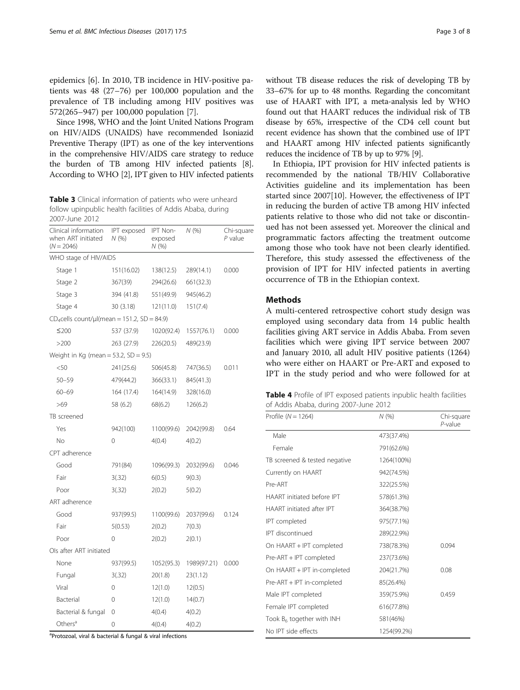<span id="page-2-0"></span>epidemics [[6\]](#page-7-0). In 2010, TB incidence in HIV-positive patients was 48 (27–76) per 100,000 population and the prevalence of TB including among HIV positives was 572(265–947) per 100,000 population [[7\]](#page-7-0).

Since 1998, WHO and the Joint United Nations Program on HIV/AIDS (UNAIDS) have recommended Isoniazid Preventive Therapy (IPT) as one of the key interventions in the comprehensive HIV/AIDS care strategy to reduce the burden of TB among HIV infected patients [[8](#page-7-0)]. According to WHO [[2](#page-7-0)], IPT given to HIV infected patients

Table 3 Clinical information of patients who were unheard follow upinpublic health facilities of Addis Ababa, during 2007-June 2012

| Clinical information<br>when ART initiated<br>$(N = 2046)$ | <b>IPT</b> exposed<br>N(%) | IPT Non-<br>exposed<br>N (%) | N(%)        | Chi-square<br>$P$ value |
|------------------------------------------------------------|----------------------------|------------------------------|-------------|-------------------------|
| WHO stage of HIV/AIDS                                      |                            |                              |             |                         |
| Stage 1                                                    | 151(16.02)                 | 138(12.5)                    | 289(14.1)   | 0.000                   |
| Stage 2                                                    | 367(39)                    | 294(26.6)                    | 661(32.3)   |                         |
| Stage 3                                                    | 394 (41.8)                 | 551(49.9)                    | 945(46.2)   |                         |
| Stage 4                                                    | 30 (3.18)                  | 121(11.0)                    | 151(7.4)    |                         |
| $CD_4$ cells count/µl(mean = 151.2, SD = 84.9)             |                            |                              |             |                         |
| $\leq$ 200                                                 | 537 (37.9)                 | 1020(92.4)                   | 1557(76.1)  | 0.000                   |
| >200                                                       | 263 (27.9)                 | 226(20.5)                    | 489(23.9)   |                         |
| Weight in Kg (mean = $53.2$ , SD = $9.5$ )                 |                            |                              |             |                         |
| < 50                                                       | 241(25.6)                  | 506(45.8)                    | 747(36.5)   | 0.011                   |
| $50 - 59$                                                  | 479(44.2)                  | 366(33.1)                    | 845(41.3)   |                         |
| $60 - 69$                                                  | 164 (17.4)                 | 164(14.9)                    | 328(16.0)   |                         |
| >69                                                        | 58 (6.2)                   | 68(6.2)                      | 126(6.2)    |                         |
| TB screened                                                |                            |                              |             |                         |
| Yes                                                        | 942(100)                   | 1100(99.6)                   | 2042(99.8)  | 0.64                    |
| No                                                         | 0                          | 4(0.4)                       | 4(0.2)      |                         |
| CPT adherence                                              |                            |                              |             |                         |
| Good                                                       | 791(84)                    | 1096(99.3)                   | 2032(99.6)  | 0.046                   |
| Fair                                                       | 3(.32)                     | 6(0.5)                       | 9(0.3)      |                         |
| Poor                                                       | 3(.32)                     | 2(0.2)                       | 5(0.2)      |                         |
| ART adherence                                              |                            |                              |             |                         |
| Good                                                       | 937(99.5)                  | 1100(99.6)                   | 2037(99.6)  | 0.124                   |
| Fair                                                       | 5(0.53)                    | 2(0.2)                       | 7(0.3)      |                         |
| Poor                                                       | $\Omega$                   | 2(0.2)                       | 2(0.1)      |                         |
| Ols after ART initiated                                    |                            |                              |             |                         |
| None                                                       | 937(99.5)                  | 1052(95.3)                   | 1989(97.21) | 0.000                   |
| Fungal                                                     | 3(.32)                     | 20(1.8)                      | 23(1.12)    |                         |
| Viral                                                      | 0                          | 12(1.0)                      | 12(0.5)     |                         |
| Bacterial                                                  | 0                          | 12(1.0)                      | 14(0.7)     |                         |
| Bacterial & fungal                                         | 0                          | 4(0.4)                       | 4(0.2)      |                         |
| Others <sup>a</sup>                                        | 0                          | 4(0.4)                       | 4(0.2)      |                         |

<sup>a</sup>Protozoal, viral & bacterial & fungal & viral infections

without TB disease reduces the risk of developing TB by 33–67% for up to 48 months. Regarding the concomitant use of HAART with IPT, a meta-analysis led by WHO found out that HAART reduces the individual risk of TB disease by 65%, irrespective of the CD4 cell count but recent evidence has shown that the combined use of IPT and HAART among HIV infected patients significantly reduces the incidence of TB by up to 97% [\[9\]](#page-7-0).

In Ethiopia, IPT provision for HIV infected patients is recommended by the national TB/HIV Collaborative Activities guideline and its implementation has been started since 2007[\[10\]](#page-7-0). However, the effectiveness of IPT in reducing the burden of active TB among HIV infected patients relative to those who did not take or discontinued has not been assessed yet. Moreover the clinical and programmatic factors affecting the treatment outcome among those who took have not been clearly identified. Therefore, this study assessed the effectiveness of the provision of IPT for HIV infected patients in averting occurrence of TB in the Ethiopian context.

## **Methods**

A multi-centered retrospective cohort study design was employed using secondary data from 14 public health facilities giving ART service in Addis Ababa. From seven facilities which were giving IPT service between 2007 and January 2010, all adult HIV positive patients (1264) who were either on HAART or Pre-ART and exposed to IPT in the study period and who were followed for at

|  | <b>Table 4</b> Profile of IPT exposed patients inpublic health facilities |  |  |
|--|---------------------------------------------------------------------------|--|--|
|  | of Addis Ababa, during 2007-June 2012                                     |  |  |

| Profile ( $N = 1264$ )        | N(% )       | Chi-square<br>P-value |
|-------------------------------|-------------|-----------------------|
| Male                          | 473(37.4%)  |                       |
| Female                        | 791(62.6%)  |                       |
| TB screened & tested negative | 1264(100%)  |                       |
| Currently on HAART            | 942(74.5%)  |                       |
| Pre-ART                       | 322(25.5%)  |                       |
| HAART initiated before IPT    | 578(61.3%)  |                       |
| HAART initiated after IPT     | 364(38.7%)  |                       |
| IPT completed                 | 975(77.1%)  |                       |
| IPT discontinued              | 289(22.9%)  |                       |
| On HAART + IPT completed      | 738(78.3%)  | 0.094                 |
| Pre-ART + IPT completed       | 237(73.6%)  |                       |
| On HAART + IPT in-completed   | 204(21.7%)  | 0.08                  |
| Pre-ART + IPT in-completed    | 85(26.4%)   |                       |
| Male IPT completed            | 359(75.9%)  | 0.459                 |
| Female IPT completed          | 616(77.8%)  |                       |
| Took $B_6$ together with INH  | 581(46%)    |                       |
| No IPT side effects           | 1254(99.2%) |                       |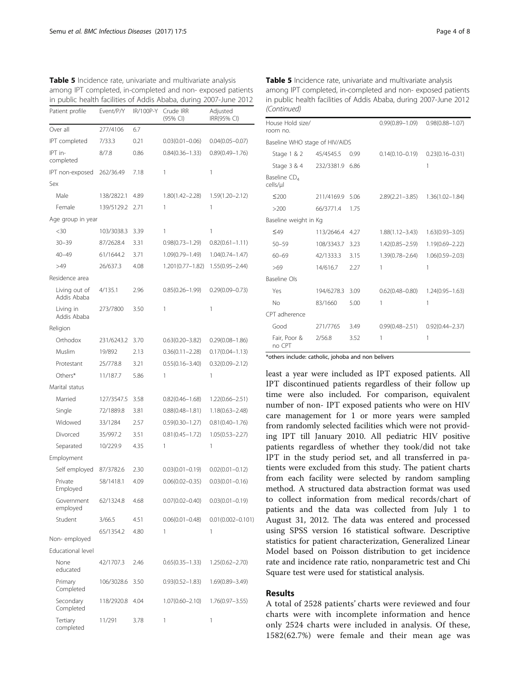|                              |            |           | ╯                     |                         |
|------------------------------|------------|-----------|-----------------------|-------------------------|
| Patient profile              | Event/P/Y  | IR/100P-Y | Crude IRR<br>(95% CI) | Adjusted<br>IRR(95% CI) |
| Over all                     | 277/4106   | 6.7       |                       |                         |
| IPT completed                | 7/33.3     | 0.21      | $0.03(0.01 - 0.06)$   | $0.04(0.05 - 0.07)$     |
| IPT in-<br>completed         | 8/7.8      | 0.86      | $0.84(0.36 - 1.33)$   | $0.89(0.49 - 1.76)$     |
| IPT non-exposed              | 262/36.49  | 7.18      | 1                     | 1                       |
| Sex                          |            |           |                       |                         |
| Male                         | 138/2822.1 | 4.89      | $1.80(1.42 - 2.28)$   | $1.59(1.20 - 2.12)$     |
| Female                       | 139/5129.2 | 2.71      | 1                     | 1                       |
| Age group in year            |            |           |                       |                         |
| $30$                         | 103/3038.3 | 3.39      | 1                     | 1                       |
| $30 - 39$                    | 87/2628.4  | 3.31      | $0.98(0.73 - 1.29)$   | $0.82(0.61 - 1.11)$     |
| $40 - 49$                    | 61/1644.2  | 3.71      | 1.09(0.79-1.49)       | 1.04(0.74-1.47)         |
| >49                          | 26/637.3   | 4.08      | $1.201(0.77 - 1.82)$  | $1.55(0.95 - 2.44)$     |
| Residence area               |            |           |                       |                         |
| Living out of<br>Addis Ababa | 4/135.1    | 2.96      | $0.85(0.26 - 1.99)$   | $0.29(0.09 - 0.73)$     |
| Living in<br>Addis Ababa     | 273/7800   | 3.50      | 1                     | 1                       |
| Religion                     |            |           |                       |                         |
| Orthodox                     | 231/6243.2 | 3.70      | $0.63(0.20 - 3.82)$   | $0.29(0.08 - 1.86)$     |
| Muslim                       | 19/892     | 2.13      | $0.36(0.11 - 2.28)$   | $0.17(0.04 - 1.13)$     |
| Protestant                   | 25/778.8   | 3.21      | $0.55(0.16 - 3.40)$   | $0.32(0.09 - 2.12)$     |
| Others*                      | 11/187.7   | 5.86      | 1                     | 1                       |
| Marital status               |            |           |                       |                         |
| Married                      | 127/3547.5 | 3.58      | $0.82(0.46 - 1.68)$   | 1.22(0.66–2.51)         |
| Single                       | 72/1889.8  | 3.81      | $0.88(0.48 - 1.81)$   | 1.18(0.63–2.48)         |
| Widowed                      | 33/1284    | 2.57      | $0.59(0.30 - 1.27)$   | $0.81(0.40 - 1.76)$     |
| Divorced                     | 35/997.2   | 3.51      | $0.81(0.45 - 1.72)$   | $1.05(0.53 - 2.27)$     |
| Separated                    | 10/229.9   | 4.35      | 1                     | 1                       |
| Employment                   |            |           |                       |                         |
| Self employed                | 87/3782.6  | 2.30      | $0.03(0.01 - 0.19)$   | $0.02(0.01 - 0.12)$     |
| Private<br>Employed          | 58/1418.1  | 4.09      | $0.06(0.02 - 0.35)$   | $0.03(0.01 - 0.16)$     |
| Government<br>employed       | 62/1324.8  | 4.68      | $0.07(0.02 - 0.40)$   | $0.03(0.01 - 0.19)$     |
| Student                      | 3/66.5     | 4.51      | $0.06(0.01 - 0.48)$   | $0.01(0.002 - 0.101)$   |
| Non-employed                 | 65/1354.2  | 4.80      | 1                     | 1                       |
| Educational level            |            |           |                       |                         |
| None<br>educated             | 42/1707.3  | 2.46      | $0.65(0.35 - 1.33)$   | $1.25(0.62 - 2.70)$     |
| Primary<br>Completed         | 106/3028.6 | 3.50      | $0.93(0.52 - 1.83)$   | 1.69(0.89–3.49)         |
| Secondary<br>Completed       | 118/2920.8 | 4.04      | $1.07(0.60 - 2.10)$   | 1.76(0.97–3.55)         |
| Tertiary<br>completed        | 11/291     | 3.78      | 1                     | 1                       |

<span id="page-3-0"></span>Table 5 Incidence rate, univariate and multivariate analysis among IPT completed, in-completed and non- exposed patients in public health facilities of Addis Ababa, during 2007-June 2012 Table 5 Incidence rate, univariate and multivariate analysis among IPT completed, in-completed and non- exposed patients in public health facilities of Addis Ababa, during 2007-June 2012 (Continued)

| House Hold size/<br>room no.         |            |      | $0.99(0.89 - 1.09)$ | $0.98(0.88 - 1.07)$ |  |
|--------------------------------------|------------|------|---------------------|---------------------|--|
| Baseline WHO stage of HIV/AIDS       |            |      |                     |                     |  |
| Stage 1 & 2                          | 45/4545.5  | 0.99 | $0.14(0.10 - 0.19)$ | $0.23(0.16 - 0.31)$ |  |
| Stage 3 & 4                          | 232/3381.9 | 6.86 |                     | 1                   |  |
| Baseline CD <sub>4</sub><br>cells/µl |            |      |                     |                     |  |
| $≤200$                               | 211/4169.9 | 5.06 | $2.89(2.21 - 3.85)$ | $1.36(1.02 - 1.84)$ |  |
| >200                                 | 66/3771.4  | 1.75 |                     |                     |  |
| Baseline weight in Kg                |            |      |                     |                     |  |
| $\leq 49$                            | 113/2646.4 | 4.27 | $1.88(1.12 - 3.43)$ | $1.63(0.93 - 3.05)$ |  |
| $50 - 59$                            | 108/3343.7 | 3.23 | $1.42(0.85 - 2.59)$ | $1.19(0.69 - 2.22)$ |  |
| $60 - 69$                            | 42/1333.3  | 3.15 | 1.39(0.78-2.64)     | $1.06(0.59 - 2.03)$ |  |
| >69                                  | 14/616.7   | 2.27 | 1                   | 1                   |  |
| <b>Baseline Ols</b>                  |            |      |                     |                     |  |
| Yes                                  | 194/6278.3 | 3.09 | $0.62(0.48 - 0.80)$ | $1.24(0.95 - 1.63)$ |  |
| No                                   | 83/1660    | 5.00 | 1                   | 1                   |  |
| CPT adherence                        |            |      |                     |                     |  |
| Good                                 | 271/7765   | 3.49 | $0.99(0.48 - 2.51)$ | $0.92(0.44 - 2.37)$ |  |
| Fair, Poor &<br>no CPT               | 2/56.8     | 3.52 | 1                   | 1                   |  |

\*others include: catholic, johoba and non belivers

least a year were included as IPT exposed patients. All IPT discontinued patients regardless of their follow up time were also included. For comparison, equivalent number of non- IPT exposed patients who were on HIV care management for 1 or more years were sampled from randomly selected facilities which were not providing IPT till January 2010. All pediatric HIV positive patients regardless of whether they took/did not take IPT in the study period set, and all transferred in patients were excluded from this study. The patient charts from each facility were selected by random sampling method. A structured data abstraction format was used to collect information from medical records/chart of patients and the data was collected from July 1 to August 31, 2012. The data was entered and processed using SPSS version 16 statistical software. Descriptive statistics for patient characterization, Generalized Linear Model based on Poisson distribution to get incidence rate and incidence rate ratio, nonparametric test and Chi Square test were used for statistical analysis.

## Results

A total of 2528 patients' charts were reviewed and four charts were with incomplete information and hence only 2524 charts were included in analysis. Of these, 1582(62.7%) were female and their mean age was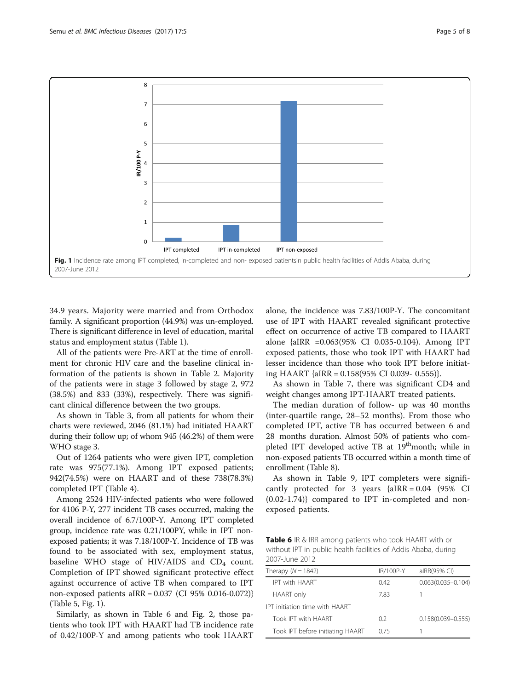

34.9 years. Majority were married and from Orthodox family. A significant proportion (44.9%) was un-employed. There is significant difference in level of education, marital status and employment status (Table [1\)](#page-1-0).

All of the patients were Pre-ART at the time of enrollment for chronic HIV care and the baseline clinical information of the patients is shown in Table [2.](#page-1-0) Majority of the patients were in stage 3 followed by stage 2, 972 (38.5%) and 833 (33%), respectively. There was significant clinical difference between the two groups.

As shown in Table [3,](#page-2-0) from all patients for whom their charts were reviewed, 2046 (81.1%) had initiated HAART during their follow up; of whom 945 (46.2%) of them were WHO stage 3.

Out of 1264 patients who were given IPT, completion rate was 975(77.1%). Among IPT exposed patients; 942(74.5%) were on HAART and of these 738(78.3%) completed IPT (Table [4\)](#page-2-0).

Among 2524 HIV-infected patients who were followed for 4106 P-Y, 277 incident TB cases occurred, making the overall incidence of 6.7/100P-Y. Among IPT completed group, incidence rate was 0.21/100PY, while in IPT nonexposed patients; it was 7.18/100P-Y. Incidence of TB was found to be associated with sex, employment status, baseline WHO stage of HIV/AIDS and  $CD<sub>4</sub>$  count. Completion of IPT showed significant protective effect against occurrence of active TB when compared to IPT non-exposed patients aIRR = 0.037 (CI 95% 0.016-0.072)} (Table [5](#page-3-0), Fig. 1).

Similarly, as shown in Table 6 and Fig. [2](#page-5-0), those patients who took IPT with HAART had TB incidence rate of 0.42/100P-Y and among patients who took HAART alone, the incidence was 7.83/100P-Y. The concomitant use of IPT with HAART revealed significant protective effect on occurrence of active TB compared to HAART alone {aIRR =0.063(95% CI 0.035-0.104). Among IPT exposed patients, those who took IPT with HAART had lesser incidence than those who took IPT before initiating HAART {aIRR = 0.158(95% CI 0.039- 0.555)}.

As shown in Table [7,](#page-5-0) there was significant CD4 and weight changes among IPT-HAART treated patients.

The median duration of follow- up was 40 months (inter-quartile range, 28–52 months). From those who completed IPT, active TB has occurred between 6 and 28 months duration. Almost 50% of patients who completed IPT developed active TB at 19<sup>th</sup>month; while in non-exposed patients TB occurred within a month time of enrollment (Table [8\)](#page-6-0).

As shown in Table [9,](#page-6-0) IPT completers were significantly protected for 3 years  ${aIRR = 0.04}$  (95% CI (0.02-1.74)} compared to IPT in-completed and nonexposed patients.

**Table 6** IR & IRR among patients who took HAART with or without IPT in public health facilities of Addis Ababa, during 2007-June 2012

| Therapy $(N = 1842)$                  | IR/100P-Y | alRR(95% CI)           |
|---------------------------------------|-----------|------------------------|
| <b>IPT with HAART</b>                 | 042       | $0.063(0.035 - 0.104)$ |
| <b>HAART</b> only                     | 783       |                        |
| <b>IPT</b> initiation time with HAART |           |                        |
| Took IPT with HAART                   | 02        | $0.158(0.039 - 0.555)$ |
| Took IPT before initiating HAART      | 0.75      |                        |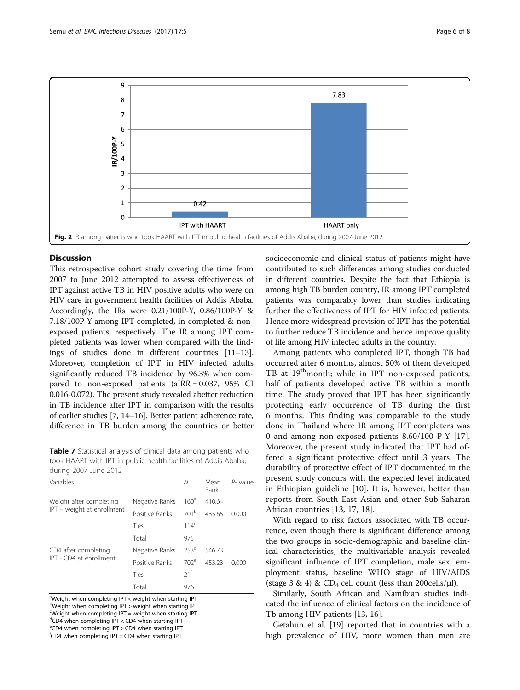<span id="page-5-0"></span>

## **Discussion**

This retrospective cohort study covering the time from 2007 to June 2012 attempted to assess effectiveness of IPT against active TB in HIV positive adults who were on HIV care in government health facilities of Addis Ababa. Accordingly, the IRs were 0.21/100P-Y, 0.86/100P-Y & 7.18/100P-Y among IPT completed, in-completed & nonexposed patients, respectively. The IR among IPT completed patients was lower when compared with the findings of studies done in different countries [\[11](#page-7-0)–[13](#page-7-0)]. Moreover, completion of IPT in HIV infected adults significantly reduced TB incidence by 96.3% when compared to non-exposed patients (aIRR = 0.037, 95% CI 0.016-0.072). The present study revealed abetter reduction in TB incidence after IPT in comparison with the results of earlier studies [[7, 14](#page-7-0)–[16\]](#page-7-0). Better patient adherence rate, difference in TB burden among the countries or better

Table 7 Statistical analysis of clinical data among patients who took HAART with IPT in public health facilities of Addis Ababa, during 2007-June 2012

| Variables                  |                | Ν                | Mean<br>Rank | P-value |
|----------------------------|----------------|------------------|--------------|---------|
| Weight after completing    | Negative Ranks | 160 <sup>a</sup> | 410.64       |         |
| IPT - weight at enrollment | Positive Ranks | 701 <sup>b</sup> | 435.65       | 0.000   |
|                            | Ties           | 114 <sup>c</sup> |              |         |
|                            | Total          | 975              |              |         |
| CD4 after completing       | Negative Ranks | 253 <sup>d</sup> | 546.73       |         |
| IPT - CD4 at enrollment    | Positive Ranks | 702 <sup>e</sup> | 453.23       | 0.000   |
|                            | Ties           | 21 <sup>f</sup>  |              |         |
|                            | Total          | 976              |              |         |

<sup>a</sup>Weight when completing IPT < weight when starting IPT

bWeight when completing IPT > weight when starting IPT Weight when completing IPT = weight when starting IPT

d CD4 when completing IPT < CD4 when starting IPT

e CD4 when completing IPT > CD4 when starting IPT

f CD4 when completing IPT = CD4 when starting IPT

socioeconomic and clinical status of patients might have contributed to such differences among studies conducted in different countries. Despite the fact that Ethiopia is among high TB burden country, IR among IPT completed patients was comparably lower than studies indicating further the effectiveness of IPT for HIV infected patients. Hence more widespread provision of IPT has the potential to further reduce TB incidence and hence improve quality of life among HIV infected adults in the country.

Among patients who completed IPT, though TB had occurred after 6 months, almost 50% of them developed TB at 19<sup>th</sup>month; while in IPT non-exposed patients, half of patients developed active TB within a month time. The study proved that IPT has been significantly protecting early occurrence of TB during the first 6 months. This finding was comparable to the study done in Thailand where IR among IPT completers was 0 and among non-exposed patients 8.60/100 P-Y [\[17](#page-7-0)]. Moreover, the present study indicated that IPT had offered a significant protective effect until 3 years. The durability of protective effect of IPT documented in the present study concurs with the expected level indicated in Ethiopian guideline [[10\]](#page-7-0). It is, however, better than reports from South East Asian and other Sub-Saharan African countries [\[13](#page-7-0), [17, 18\]](#page-7-0).

With regard to risk factors associated with TB occurrence, even though there is significant difference among the two groups in socio-demographic and baseline clinical characteristics, the multivariable analysis revealed significant influence of IPT completion, male sex, employment status, baseline WHO stage of HIV/AIDS (stage 3 & 4) &  $CD_4$  cell count (less than 200cells/ $\mu$ l).

Similarly, South African and Namibian studies indicated the influence of clinical factors on the incidence of Tb among HIV patients [[13, 16\]](#page-7-0).

Getahun et al. [[19\]](#page-7-0) reported that in countries with a high prevalence of HIV, more women than men are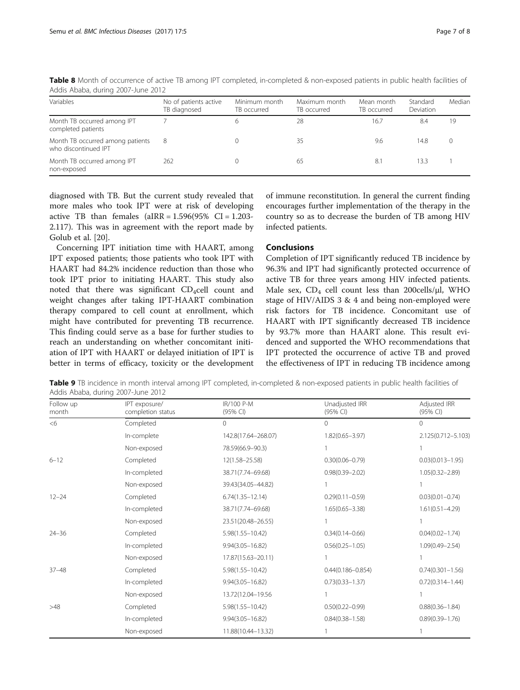| Variables                                                | No of patients active<br>TB diagnosed | Minimum month<br>TB occurred | Maximum month<br>TB occurred | Mean month<br>TB occurred | Standard<br>Deviation | Median |
|----------------------------------------------------------|---------------------------------------|------------------------------|------------------------------|---------------------------|-----------------------|--------|
| Month TB occurred among IPT<br>completed patients        |                                       |                              | 28                           | 16.7                      | 8.4                   | 19     |
| Month TB occurred among patients<br>who discontinued IPT | 8                                     |                              | 35                           | 9.6                       | 14.8                  |        |
| Month TB occurred among IPT<br>non-exposed               | 262                                   |                              | 65                           | 8.                        | 13.3                  |        |

<span id="page-6-0"></span>Table 8 Month of occurrence of active TB among IPT completed, in-completed & non-exposed patients in public health facilities of Addis Ababa, during 2007-June 2012

diagnosed with TB. But the current study revealed that more males who took IPT were at risk of developing active TB than females  $(aIRR = 1.596(95\% \text{ CI} = 1.203-1.1)$ 2.117). This was in agreement with the report made by Golub et al. [[20\]](#page-7-0).

Concerning IPT initiation time with HAART, among IPT exposed patients; those patients who took IPT with HAART had 84.2% incidence reduction than those who took IPT prior to initiating HAART. This study also noted that there was significant  $CD_4$ cell count and weight changes after taking IPT-HAART combination therapy compared to cell count at enrollment, which might have contributed for preventing TB recurrence. This finding could serve as a base for further studies to reach an understanding on whether concomitant initiation of IPT with HAART or delayed initiation of IPT is better in terms of efficacy, toxicity or the development

of immune reconstitution. In general the current finding encourages further implementation of the therapy in the country so as to decrease the burden of TB among HIV infected patients.

## Conclusions

Completion of IPT significantly reduced TB incidence by 96.3% and IPT had significantly protected occurrence of active TB for three years among HIV infected patients. Male sex,  $CD_4$  cell count less than 200cells/ $\mu$ l, WHO stage of HIV/AIDS 3 & 4 and being non-employed were risk factors for TB incidence. Concomitant use of HAART with IPT significantly decreased TB incidence by 93.7% more than HAART alone. This result evidenced and supported the WHO recommendations that IPT protected the occurrence of active TB and proved the effectiveness of IPT in reducing TB incidence among

Table 9 TB incidence in month interval among IPT completed, in-completed & non-exposed patients in public health facilities of Addis Ababa, during 2007-June 2012

| Follow up<br>month | IPT exposure/<br>completion status | IR/100 P-M<br>(95% CI) | Unadjusted IRR<br>(95% CI) | Adjusted IRR<br>(95% CI) |
|--------------------|------------------------------------|------------------------|----------------------------|--------------------------|
| <6                 | Completed                          | $\Omega$               | $\Omega$                   | 0                        |
|                    | In-complete                        | 142.8(17.64-268.07)    | $1.82(0.65 - 3.97)$        | 2.125(0.712-5.103)       |
|                    | Non-exposed                        | 78.59(66.9-90.3)       |                            |                          |
| $6 - 12$           | Completed                          | 12(1.58-25.58)         | $0.30(0.06 - 0.79)$        | $0.03(0.013 - 1.95)$     |
|                    | In-completed                       | 38.71(7.74-69.68)      | $0.98(0.39 - 2.02)$        | $1.05(0.32 - 2.89)$      |
|                    | Non-exposed                        | 39.43(34.05-44.82)     |                            |                          |
| $12 - 24$          | Completed                          | $6.74(1.35 - 12.14)$   | $0.29(0.11 - 0.59)$        | $0.03(0.01 - 0.74)$      |
|                    | In-completed                       | 38.71(7.74-69.68)      | $1.65(0.65 - 3.38)$        | $1.61(0.51 - 4.29)$      |
|                    | Non-exposed                        | 23.51(20.48-26.55)     |                            |                          |
| $24 - 36$          | Completed                          | $5.98(1.55 - 10.42)$   | $0.34(0.14 - 0.66)$        | $0.04(0.02 - 1.74)$      |
|                    | In-completed                       | $9.94(3.05 - 16.82)$   | $0.56(0.25 - 1.05)$        | $1.09(0.49 - 2.54)$      |
|                    | Non-exposed                        | 17.87(15.63-20.11)     |                            |                          |
| $37 - 48$          | Completed                          | $5.98(1.55 - 10.42)$   | $0.44(0.186 - 0.854)$      | $0.74(0.301 - 1.56)$     |
|                    | In-completed                       | $9.94(3.05 - 16.82)$   | $0.73(0.33 - 1.37)$        | $0.72(0.314 - 1.44)$     |
|                    | Non-exposed                        | 13.72(12.04-19.56      |                            |                          |
| >48                | Completed                          | $5.98(1.55 - 10.42)$   | $0.50(0.22 - 0.99)$        | $0.88(0.36 - 1.84)$      |
|                    | In-completed                       | $9.94(3.05 - 16.82)$   | $0.84(0.38 - 1.58)$        | $0.89(0.39 - 1.76)$      |
|                    | Non-exposed                        | 11.88(10.44-13.32)     |                            |                          |